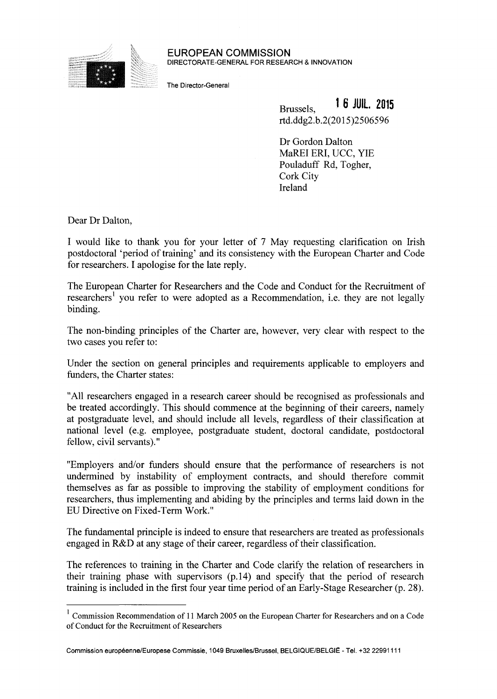

**EUROPEAN COMMISSION**  DIRECTORATE-GENERAL FOR RESEARCH & INNOVATION

The Director-General

**Brussels. 16 JUIL. 2015 rīd.ddg2.b.2(2015)2506596** 

Dr Gordon Dalton MaREI ERI, UCC, ΥΙΕ Pouladuff Rd, Togher, Cork City Ireland

Dear Dr Dalton,

I would like to thank you for your letter of 7 May requesting clarification on Irish postdoctoral 'period of training' and its consistency with the European Charter and Code for researchers. I apologise for the late reply.

The European Charter for Researchers and the Code and Conduct for the Recruitment of researchers<sup>1</sup> you refer to were adopted as a Recommendation, i.e. they are not legally binding.

The non-binding principles of the Charter are, however, very clear with respect to the two cases you refer to:

Under the section on general principles and requirements applicable to employers and funders, the Charter states:

"All researchers engaged in a research career should be recognised as professionals and be treated accordingly. This should commence at the beginning of their careers, namely at postgraduate level, and should include all levels, regardless of their classification at national level (e.g. employee, postgraduate student, doctoral candidate, postdoctoral fellow, civil servants)."

"Employers and/or funders should ensure that the performance of researchers is not undermined by instability of employment contracts, and should therefore commit themselves as far as possible to improving the stability of employment conditions for researchers, thus implementing and abiding by the principles and terms laid down in the EU Directive on Fixed-Term Work."

The fundamental principle is indeed to ensure that researchers are treated as professionals engaged in R&D at any stage of their career, regardless of their classification.

The references to training in the Charter and Code clarify the relation of researchers in their training phase with supervisors (p. 14) and specify that the period of research training is included in the first four year time period of an Early-Stage Researcher (p. 28).

Commission européenne/Europese Commissie, 1049 Bruxelles/Brussel, BELGIQUE/BELGIË - Tel. +32 22991111

<sup>&</sup>lt;sup>1</sup> Commission Recommendation of 11 March 2005 on the European Charter for Researchers and on a Code of Conduct for the Recruitment of Researchers